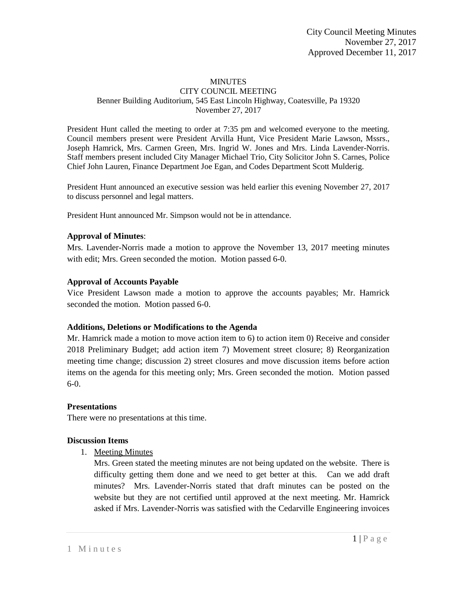#### **MINUTES** CITY COUNCIL MEETING Benner Building Auditorium, 545 East Lincoln Highway, Coatesville, Pa 19320 November 27, 2017

President Hunt called the meeting to order at 7:35 pm and welcomed everyone to the meeting. Council members present were President Arvilla Hunt, Vice President Marie Lawson, Mssrs., Joseph Hamrick, Mrs. Carmen Green, Mrs. Ingrid W. Jones and Mrs. Linda Lavender-Norris. Staff members present included City Manager Michael Trio, City Solicitor John S. Carnes, Police Chief John Lauren, Finance Department Joe Egan, and Codes Department Scott Mulderig.

President Hunt announced an executive session was held earlier this evening November 27, 2017 to discuss personnel and legal matters.

President Hunt announced Mr. Simpson would not be in attendance.

### **Approval of Minutes**:

Mrs. Lavender-Norris made a motion to approve the November 13, 2017 meeting minutes with edit; Mrs. Green seconded the motion. Motion passed 6-0.

### **Approval of Accounts Payable**

Vice President Lawson made a motion to approve the accounts payables; Mr. Hamrick seconded the motion. Motion passed 6-0.

#### **Additions, Deletions or Modifications to the Agenda**

Mr. Hamrick made a motion to move action item to 6) to action item 0) Receive and consider 2018 Preliminary Budget; add action item 7) Movement street closure; 8) Reorganization meeting time change; discussion 2) street closures and move discussion items before action items on the agenda for this meeting only; Mrs. Green seconded the motion. Motion passed 6-0.

#### **Presentations**

There were no presentations at this time.

#### **Discussion Items**

1. Meeting Minutes

Mrs. Green stated the meeting minutes are not being updated on the website. There is difficulty getting them done and we need to get better at this. Can we add draft minutes? Mrs. Lavender-Norris stated that draft minutes can be posted on the website but they are not certified until approved at the next meeting. Mr. Hamrick asked if Mrs. Lavender-Norris was satisfied with the Cedarville Engineering invoices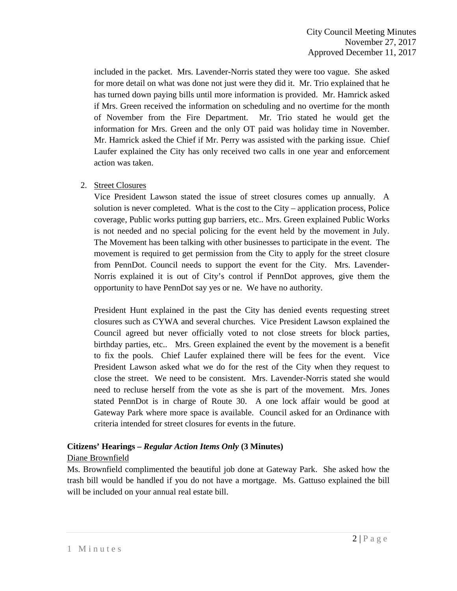included in the packet. Mrs. Lavender-Norris stated they were too vague. She asked for more detail on what was done not just were they did it. Mr. Trio explained that he has turned down paying bills until more information is provided. Mr. Hamrick asked if Mrs. Green received the information on scheduling and no overtime for the month of November from the Fire Department. Mr. Trio stated he would get the information for Mrs. Green and the only OT paid was holiday time in November. Mr. Hamrick asked the Chief if Mr. Perry was assisted with the parking issue. Chief Laufer explained the City has only received two calls in one year and enforcement action was taken.

### 2. Street Closures

Vice President Lawson stated the issue of street closures comes up annually. A solution is never completed. What is the cost to the City – application process, Police coverage, Public works putting gup barriers, etc.. Mrs. Green explained Public Works is not needed and no special policing for the event held by the movement in July. The Movement has been talking with other businesses to participate in the event. The movement is required to get permission from the City to apply for the street closure from PennDot. Council needs to support the event for the City. Mrs. Lavender-Norris explained it is out of City's control if PennDot approves, give them the opportunity to have PennDot say yes or ne. We have no authority.

President Hunt explained in the past the City has denied events requesting street closures such as CYWA and several churches. Vice President Lawson explained the Council agreed but never officially voted to not close streets for block parties, birthday parties, etc.. Mrs. Green explained the event by the movement is a benefit to fix the pools. Chief Laufer explained there will be fees for the event. Vice President Lawson asked what we do for the rest of the City when they request to close the street. We need to be consistent. Mrs. Lavender-Norris stated she would need to recluse herself from the vote as she is part of the movement. Mrs. Jones stated PennDot is in charge of Route 30. A one lock affair would be good at Gateway Park where more space is available. Council asked for an Ordinance with criteria intended for street closures for events in the future.

### **Citizens' Hearings –** *Regular Action Items Only* **(3 Minutes)**

#### Diane Brownfield

Ms. Brownfield complimented the beautiful job done at Gateway Park. She asked how the trash bill would be handled if you do not have a mortgage. Ms. Gattuso explained the bill will be included on your annual real estate bill.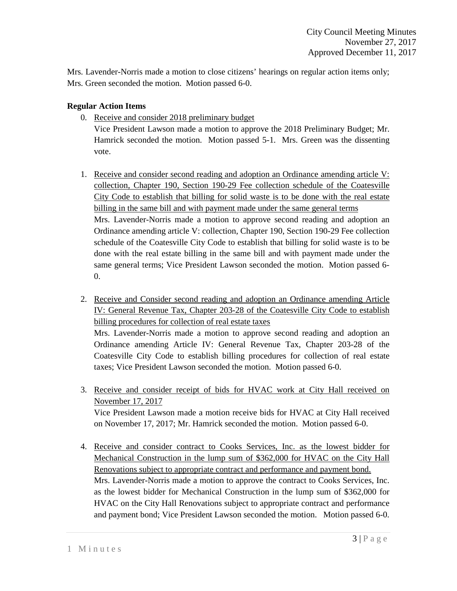Mrs. Lavender-Norris made a motion to close citizens' hearings on regular action items only; Mrs. Green seconded the motion. Motion passed 6-0.

### **Regular Action Items**

0. Receive and consider 2018 preliminary budget

Vice President Lawson made a motion to approve the 2018 Preliminary Budget; Mr. Hamrick seconded the motion. Motion passed 5-1. Mrs. Green was the dissenting vote.

- 1. Receive and consider second reading and adoption an Ordinance amending article V: collection, Chapter 190, Section 190-29 Fee collection schedule of the Coatesville City Code to establish that billing for solid waste is to be done with the real estate billing in the same bill and with payment made under the same general terms Mrs. Lavender-Norris made a motion to approve second reading and adoption an Ordinance amending article V: collection, Chapter 190, Section 190-29 Fee collection schedule of the Coatesville City Code to establish that billing for solid waste is to be done with the real estate billing in the same bill and with payment made under the same general terms; Vice President Lawson seconded the motion. Motion passed 6-  $\theta$ .
- 2. Receive and Consider second reading and adoption an Ordinance amending Article IV: General Revenue Tax, Chapter 203-28 of the Coatesville City Code to establish billing procedures for collection of real estate taxes Mrs. Lavender-Norris made a motion to approve second reading and adoption an Ordinance amending Article IV: General Revenue Tax, Chapter 203-28 of the Coatesville City Code to establish billing procedures for collection of real estate taxes; Vice President Lawson seconded the motion. Motion passed 6-0.
- 3. Receive and consider receipt of bids for HVAC work at City Hall received on November 17, 2017 Vice President Lawson made a motion receive bids for HVAC at City Hall received on November 17, 2017; Mr. Hamrick seconded the motion. Motion passed 6-0.
- 4. Receive and consider contract to Cooks Services, Inc. as the lowest bidder for Mechanical Construction in the lump sum of \$362,000 for HVAC on the City Hall Renovations subject to appropriate contract and performance and payment bond. Mrs. Lavender-Norris made a motion to approve the contract to Cooks Services, Inc. as the lowest bidder for Mechanical Construction in the lump sum of \$362,000 for HVAC on the City Hall Renovations subject to appropriate contract and performance and payment bond; Vice President Lawson seconded the motion. Motion passed 6-0.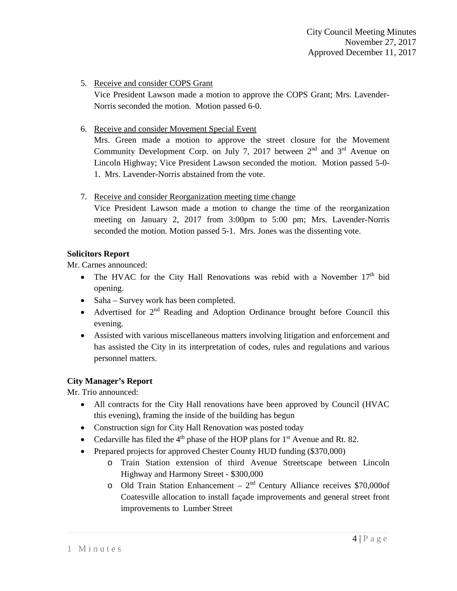### 5. Receive and consider COPS Grant

Vice President Lawson made a motion to approve the COPS Grant; Mrs. Lavender-Norris seconded the motion. Motion passed 6-0.

### 6. Receive and consider Movement Special Event

Mrs. Green made a motion to approve the street closure for the Movement Community Development Corp. on July 7, 2017 between  $2<sup>nd</sup>$  and  $3<sup>rd</sup>$  Avenue on Lincoln Highway; Vice President Lawson seconded the motion. Motion passed 5-0- 1. Mrs. Lavender-Norris abstained from the vote.

7. Receive and consider Reorganization meeting time change

Vice President Lawson made a motion to change the time of the reorganization meeting on January 2, 2017 from 3:00pm to 5:00 pm; Mrs. Lavender-Norris seconded the motion. Motion passed 5-1. Mrs. Jones was the dissenting vote.

## **Solicitors Report**

Mr. Carnes announced:

- The HVAC for the City Hall Renovations was rebid with a November  $17<sup>th</sup>$  bid opening.
- Saha Survey work has been completed.
- Advertised for 2<sup>nd</sup> Reading and Adoption Ordinance brought before Council this evening.
- Assisted with various miscellaneous matters involving litigation and enforcement and has assisted the City in its interpretation of codes, rules and regulations and various personnel matters.

### **City Manager's Report**

Mr. Trio announced:

- All contracts for the City Hall renovations have been approved by Council (HVAC) this evening), framing the inside of the building has begun
- Construction sign for City Hall Renovation was posted today
- Cedarville has filed the  $4<sup>th</sup>$  phase of the HOP plans for  $1<sup>st</sup>$  Avenue and Rt. 82.
- Prepared projects for approved Chester County HUD funding (\$370,000)
	- o Train Station extension of third Avenue Streetscape between Lincoln Highway and Harmony Street - \$300,000
	- o Old Train Station Enhancement  $2<sup>nd</sup>$  Century Alliance receives \$70,000of Coatesville allocation to install façade improvements and general street front improvements to Lumber Street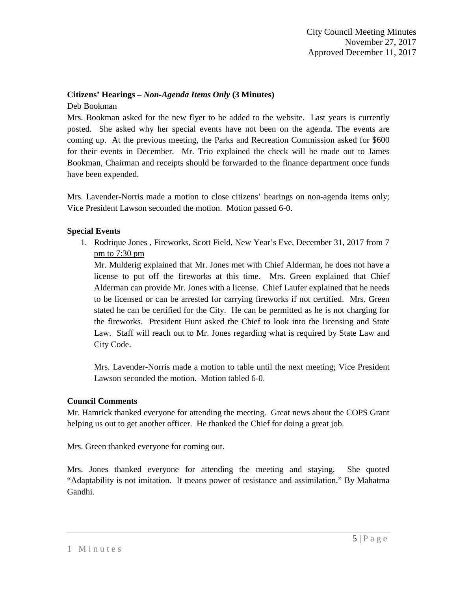# **Citizens' Hearings –** *Non-Agenda Items Only* **(3 Minutes)**

#### Deb Bookman

Mrs. Bookman asked for the new flyer to be added to the website. Last years is currently posted. She asked why her special events have not been on the agenda. The events are coming up. At the previous meeting, the Parks and Recreation Commission asked for \$600 for their events in December. Mr. Trio explained the check will be made out to James Bookman, Chairman and receipts should be forwarded to the finance department once funds have been expended.

Mrs. Lavender-Norris made a motion to close citizens' hearings on non-agenda items only; Vice President Lawson seconded the motion. Motion passed 6-0.

### **Special Events**

1. Rodrique Jones , Fireworks, Scott Field, New Year's Eve, December 31, 2017 from 7 pm to 7:30 pm

Mr. Mulderig explained that Mr. Jones met with Chief Alderman, he does not have a license to put off the fireworks at this time. Mrs. Green explained that Chief Alderman can provide Mr. Jones with a license. Chief Laufer explained that he needs to be licensed or can be arrested for carrying fireworks if not certified. Mrs. Green stated he can be certified for the City. He can be permitted as he is not charging for the fireworks. President Hunt asked the Chief to look into the licensing and State Law. Staff will reach out to Mr. Jones regarding what is required by State Law and City Code.

Mrs. Lavender-Norris made a motion to table until the next meeting; Vice President Lawson seconded the motion. Motion tabled 6-0.

#### **Council Comments**

Mr. Hamrick thanked everyone for attending the meeting. Great news about the COPS Grant helping us out to get another officer. He thanked the Chief for doing a great job.

Mrs. Green thanked everyone for coming out.

Mrs. Jones thanked everyone for attending the meeting and staying. She quoted "Adaptability is not imitation. It means power of resistance and assimilation." By Mahatma Gandhi.